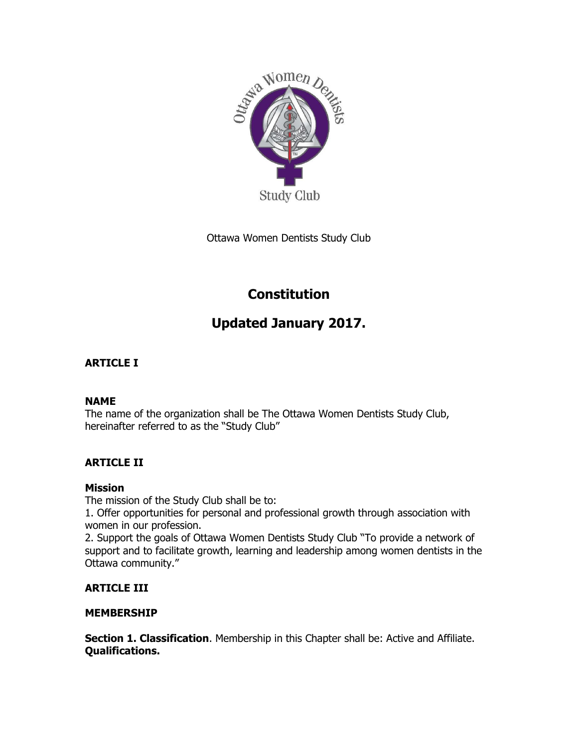

Ottawa Women Dentists Study Club

# **Constitution**

# **Updated January 2017.**

# **ARTICLE I**

## **NAME**

The name of the organization shall be The Ottawa Women Dentists Study Club, hereinafter referred to as the "Study Club"

# **ARTICLE II**

## **Mission**

The mission of the Study Club shall be to:

1. Offer opportunities for personal and professional growth through association with women in our profession.

2. Support the goals of Ottawa Women Dentists Study Club "To provide a network of support and to facilitate growth, learning and leadership among women dentists in the Ottawa community."

## **ARTICLE III**

## **MEMBERSHIP**

**Section 1. Classification**. Membership in this Chapter shall be: Active and Affiliate. **Qualifications.**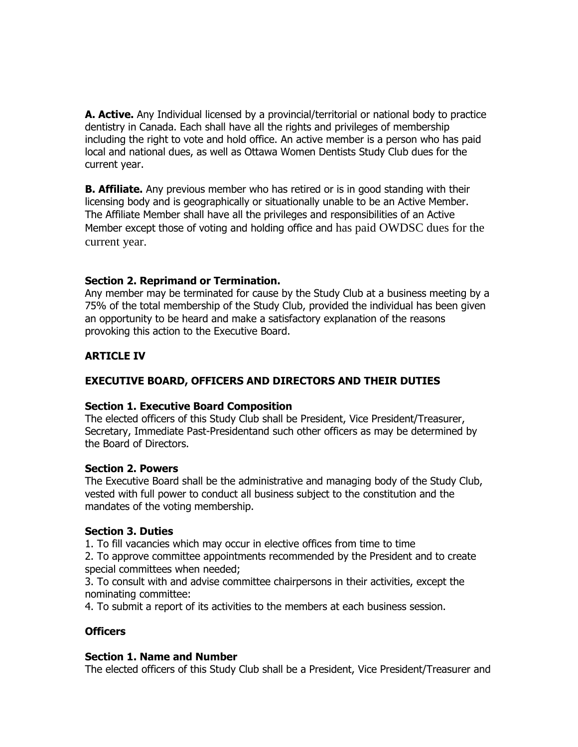**A. Active.** Any Individual licensed by a provincial/territorial or national body to practice dentistry in Canada. Each shall have all the rights and privileges of membership including the right to vote and hold office. An active member is a person who has paid local and national dues, as well as Ottawa Women Dentists Study Club dues for the current year.

**B. Affiliate.** Any previous member who has retired or is in good standing with their licensing body and is geographically or situationally unable to be an Active Member. The Affiliate Member shall have all the privileges and responsibilities of an Active Member except those of voting and holding office and has paid OWDSC dues for the current year.

## **Section 2. Reprimand or Termination.**

Any member may be terminated for cause by the Study Club at a business meeting by a 75% of the total membership of the Study Club, provided the individual has been given an opportunity to be heard and make a satisfactory explanation of the reasons provoking this action to the Executive Board.

## **ARTICLE IV**

## **EXECUTIVE BOARD, OFFICERS AND DIRECTORS AND THEIR DUTIES**

#### **Section 1. Executive Board Composition**

The elected officers of this Study Club shall be President, Vice President/Treasurer, Secretary, Immediate Past-Presidentand such other officers as may be determined by the Board of Directors.

#### **Section 2. Powers**

The Executive Board shall be the administrative and managing body of the Study Club, vested with full power to conduct all business subject to the constitution and the mandates of the voting membership.

#### **Section 3. Duties**

1. To fill vacancies which may occur in elective offices from time to time

2. To approve committee appointments recommended by the President and to create special committees when needed;

3. To consult with and advise committee chairpersons in their activities, except the nominating committee:

4. To submit a report of its activities to the members at each business session.

## **Officers**

## **Section 1. Name and Number**

The elected officers of this Study Club shall be a President, Vice President/Treasurer and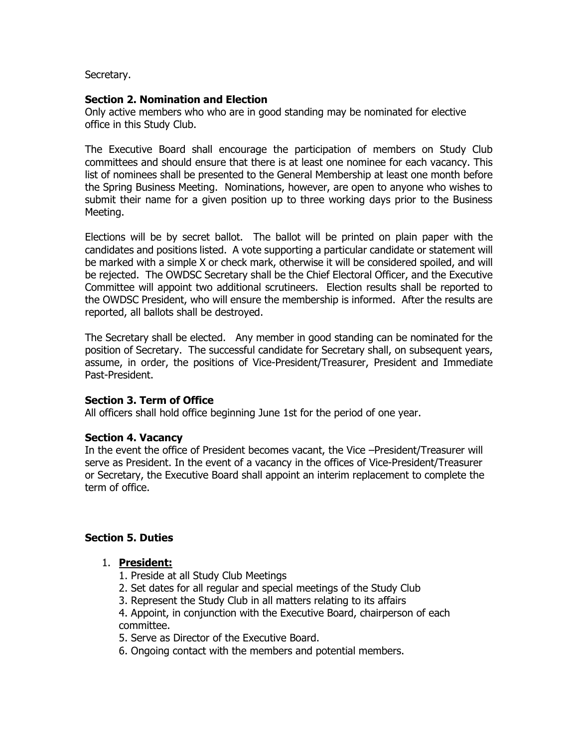Secretary.

## **Section 2. Nomination and Election**

Only active members who who are in good standing may be nominated for elective office in this Study Club.

The Executive Board shall encourage the participation of members on Study Club committees and should ensure that there is at least one nominee for each vacancy. This list of nominees shall be presented to the General Membership at least one month before the Spring Business Meeting. Nominations, however, are open to anyone who wishes to submit their name for a given position up to three working days prior to the Business Meeting.

Elections will be by secret ballot. The ballot will be printed on plain paper with the candidates and positions listed. A vote supporting a particular candidate or statement will be marked with a simple X or check mark, otherwise it will be considered spoiled, and will be rejected. The OWDSC Secretary shall be the Chief Electoral Officer, and the Executive Committee will appoint two additional scrutineers. Election results shall be reported to the OWDSC President, who will ensure the membership is informed. After the results are reported, all ballots shall be destroyed.

The Secretary shall be elected. Any member in good standing can be nominated for the position of Secretary. The successful candidate for Secretary shall, on subsequent years, assume, in order, the positions of Vice-President/Treasurer, President and Immediate Past-President.

## **Section 3. Term of Office**

All officers shall hold office beginning June 1st for the period of one year.

## **Section 4. Vacancy**

In the event the office of President becomes vacant, the Vice –President/Treasurer will serve as President. In the event of a vacancy in the offices of Vice-President/Treasurer or Secretary, the Executive Board shall appoint an interim replacement to complete the term of office.

## **Section 5. Duties**

## 1. **President:**

- 1. Preside at all Study Club Meetings
- 2. Set dates for all regular and special meetings of the Study Club
- 3. Represent the Study Club in all matters relating to its affairs

4. Appoint, in conjunction with the Executive Board, chairperson of each committee.

5. Serve as Director of the Executive Board.

6. Ongoing contact with the members and potential members.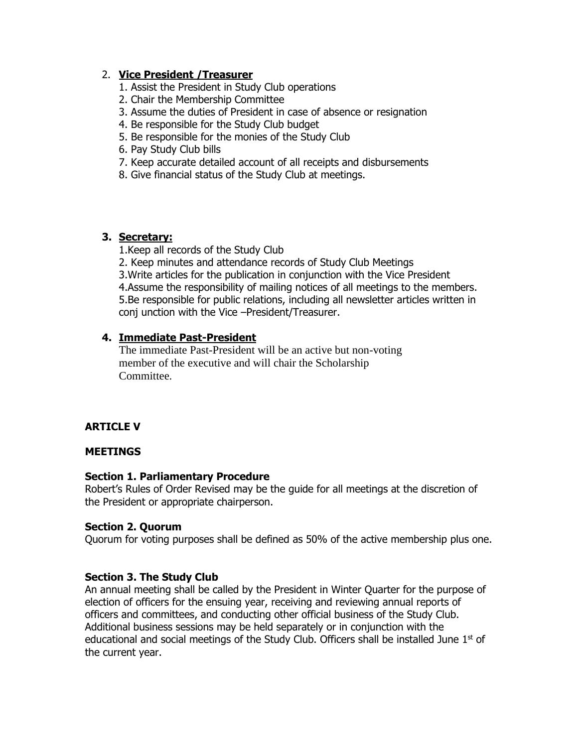## 2. **Vice President /Treasurer**

- 1. Assist the President in Study Club operations
- 2. Chair the Membership Committee
- 3. Assume the duties of President in case of absence or resignation
- 4. Be responsible for the Study Club budget
- 5. Be responsible for the monies of the Study Club
- 6. Pay Study Club bills
- 7. Keep accurate detailed account of all receipts and disbursements
- 8. Give financial status of the Study Club at meetings.

## **3. Secretary:**

1.Keep all records of the Study Club

2. Keep minutes and attendance records of Study Club Meetings 3.Write articles for the publication in conjunction with the Vice President 4.Assume the responsibility of mailing notices of all meetings to the members. 5.Be responsible for public relations, including all newsletter articles written in conj unction with the Vice –President/Treasurer.

## **4. Immediate Past-President**

The immediate Past-President will be an active but non-voting member of the executive and will chair the Scholarship Committee.

## **ARTICLE V**

## **MEETINGS**

## **Section 1. Parliamentary Procedure**

Robert's Rules of Order Revised may be the guide for all meetings at the discretion of the President or appropriate chairperson.

## **Section 2. Quorum**

Quorum for voting purposes shall be defined as 50% of the active membership plus one.

## **Section 3. The Study Club**

An annual meeting shall be called by the President in Winter Quarter for the purpose of election of officers for the ensuing year, receiving and reviewing annual reports of officers and committees, and conducting other official business of the Study Club. Additional business sessions may be held separately or in conjunction with the educational and social meetings of the Study Club. Officers shall be installed June  $1<sup>st</sup>$  of the current year.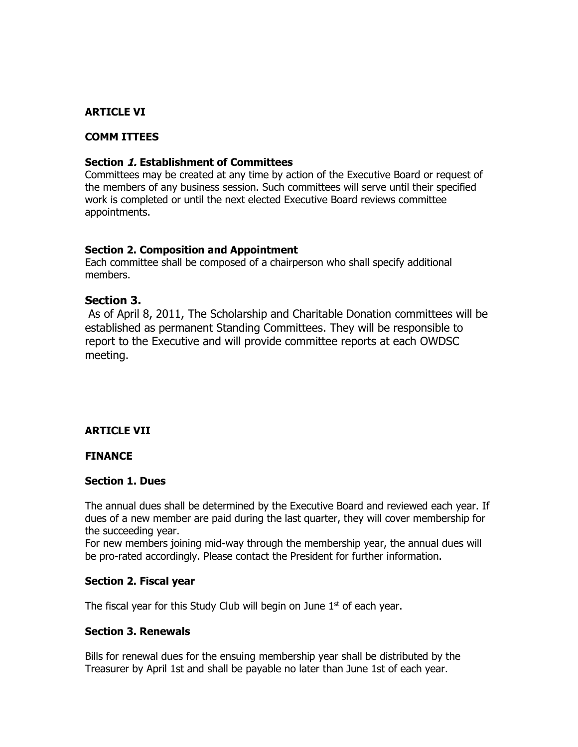## **ARTICLE VI**

## **COMM ITTEES**

#### **Section 1. Establishment of Committees**

Committees may be created at any time by action of the Executive Board or request of the members of any business session. Such committees will serve until their specified work is completed or until the next elected Executive Board reviews committee appointments.

#### **Section 2. Composition and Appointment**

Each committee shall be composed of a chairperson who shall specify additional members.

## **Section 3.**

As of April 8, 2011, The Scholarship and Charitable Donation committees will be established as permanent Standing Committees. They will be responsible to report to the Executive and will provide committee reports at each OWDSC meeting.

## **ARTICLE VII**

#### **FINANCE**

#### **Section 1. Dues**

The annual dues shall be determined by the Executive Board and reviewed each year. If dues of a new member are paid during the last quarter, they will cover membership for the succeeding year.

For new members joining mid-way through the membership year, the annual dues will be pro-rated accordingly. Please contact the President for further information.

#### **Section 2. Fiscal year**

The fiscal year for this Study Club will begin on June  $1<sup>st</sup>$  of each year.

#### **Section 3. Renewals**

Bills for renewal dues for the ensuing membership year shall be distributed by the Treasurer by April 1st and shall be payable no later than June 1st of each year.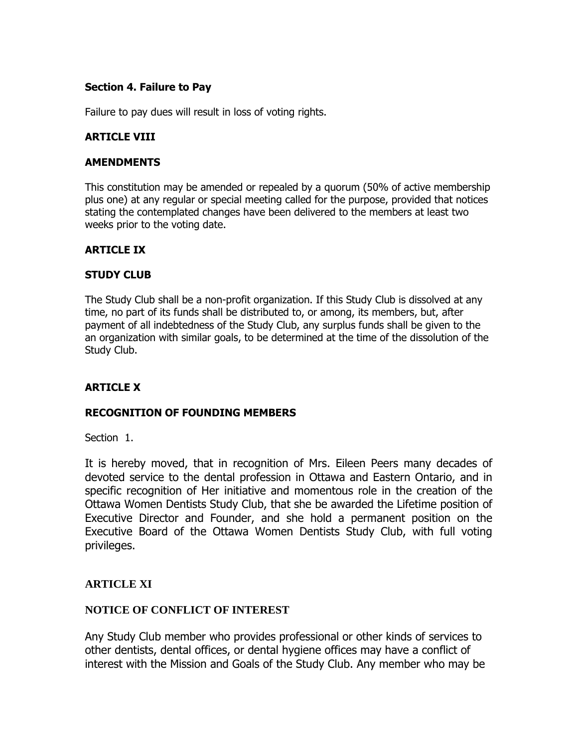## **Section 4. Failure to Pay**

Failure to pay dues will result in loss of voting rights.

## **ARTICLE VIII**

## **AMENDMENTS**

This constitution may be amended or repealed by a quorum (50% of active membership plus one) at any regular or special meeting called for the purpose, provided that notices stating the contemplated changes have been delivered to the members at least two weeks prior to the voting date.

## **ARTICLE IX**

## **STUDY CLUB**

The Study Club shall be a non-profit organization. If this Study Club is dissolved at any time, no part of its funds shall be distributed to, or among, its members, but, after payment of all indebtedness of the Study Club, any surplus funds shall be given to the an organization with similar goals, to be determined at the time of the dissolution of the Study Club.

## **ARTICLE X**

## **RECOGNITION OF FOUNDING MEMBERS**

Section 1.

It is hereby moved, that in recognition of Mrs. Eileen Peers many decades of devoted service to the dental profession in Ottawa and Eastern Ontario, and in specific recognition of Her initiative and momentous role in the creation of the Ottawa Women Dentists Study Club, that she be awarded the Lifetime position of Executive Director and Founder, and she hold a permanent position on the Executive Board of the Ottawa Women Dentists Study Club, with full voting privileges.

## **ARTICLE XI**

## **NOTICE OF CONFLICT OF INTEREST**

Any Study Club member who provides professional or other kinds of services to other dentists, dental offices, or dental hygiene offices may have a conflict of interest with the Mission and Goals of the Study Club. Any member who may be